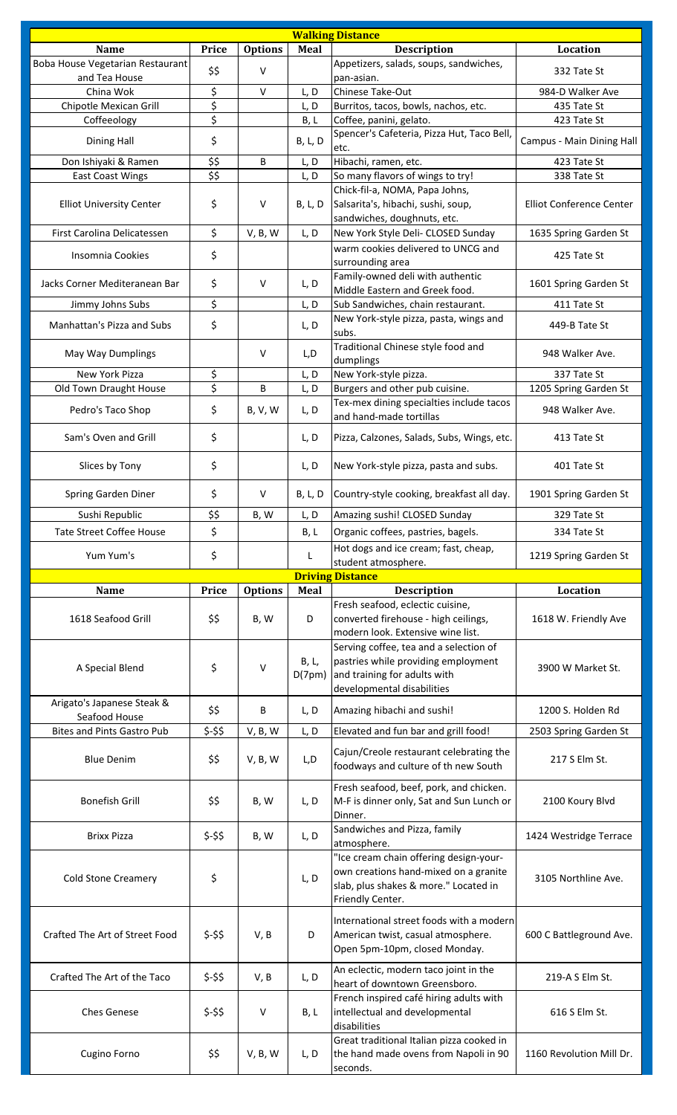| <b>Walking Distance</b>                     |                                                             |                |                 |                                                                                     |                           |  |  |  |
|---------------------------------------------|-------------------------------------------------------------|----------------|-----------------|-------------------------------------------------------------------------------------|---------------------------|--|--|--|
| <b>Name</b>                                 | Price                                                       | <b>Options</b> | Meal            | <b>Description</b>                                                                  | Location                  |  |  |  |
| Boba House Vegetarian Restaurant            | \$\$                                                        | $\vee$         |                 | Appetizers, salads, soups, sandwiches,                                              | 332 Tate St               |  |  |  |
| and Tea House<br>China Wok                  |                                                             | $\vee$         |                 | pan-asian.<br>Chinese Take-Out                                                      | 984-D Walker Ave          |  |  |  |
| Chipotle Mexican Grill                      | \$<br>\$                                                    |                | L, D<br>L, D    | Burritos, tacos, bowls, nachos, etc.                                                | 435 Tate St               |  |  |  |
| Coffeeology                                 | \$                                                          |                | B, L            | Coffee, panini, gelato.                                                             | 423 Tate St               |  |  |  |
| Dining Hall                                 | \$                                                          |                | <b>B, L, D</b>  | Spencer's Cafeteria, Pizza Hut, Taco Bell,                                          | Campus - Main Dining Hall |  |  |  |
|                                             |                                                             |                |                 | etc.                                                                                |                           |  |  |  |
| Don Ishiyaki & Ramen                        | \$\$                                                        | B              | L, D            | Hibachi, ramen, etc.                                                                | 423 Tate St               |  |  |  |
| <b>East Coast Wings</b>                     | $\overline{\boldsymbol{\mathsf{S}}\boldsymbol{\mathsf{S}}}$ |                | L, D            | So many flavors of wings to try!<br>Chick-fil-a, NOMA, Papa Johns,                  | 338 Tate St               |  |  |  |
| <b>Elliot University Center</b>             | \$                                                          | $\vee$         | <b>B</b> , L, D | Salsarita's, hibachi, sushi, soup,                                                  | Elliot Conference Center  |  |  |  |
|                                             |                                                             |                |                 | sandwiches, doughnuts, etc.                                                         |                           |  |  |  |
| First Carolina Delicatessen                 | \$                                                          | V, B, W        | L, D            | New York Style Deli- CLOSED Sunday                                                  | 1635 Spring Garden St     |  |  |  |
| Insomnia Cookies                            | \$                                                          |                |                 | warm cookies delivered to UNCG and                                                  | 425 Tate St               |  |  |  |
|                                             |                                                             |                |                 | surrounding area                                                                    |                           |  |  |  |
| Jacks Corner Mediteranean Bar               | \$                                                          | $\vee$         | L, D            | Family-owned deli with authentic<br>Middle Eastern and Greek food.                  | 1601 Spring Garden St     |  |  |  |
| Jimmy Johns Subs                            | \$                                                          |                | L, D            | Sub Sandwiches, chain restaurant.                                                   | 411 Tate St               |  |  |  |
| Manhattan's Pizza and Subs                  | \$                                                          |                | L, D            | New York-style pizza, pasta, wings and                                              | 449-B Tate St             |  |  |  |
|                                             |                                                             |                |                 | subs.                                                                               |                           |  |  |  |
| May Way Dumplings                           |                                                             | $\vee$         | L, D            | Traditional Chinese style food and                                                  | 948 Walker Ave.           |  |  |  |
| New York Pizza                              | \$                                                          |                | L, D            | dumplings<br>New York-style pizza.                                                  | 337 Tate St               |  |  |  |
| Old Town Draught House                      | \$                                                          | B              | L, D            | Burgers and other pub cuisine.                                                      | 1205 Spring Garden St     |  |  |  |
|                                             |                                                             |                |                 | Tex-mex dining specialties include tacos                                            |                           |  |  |  |
| Pedro's Taco Shop                           | \$                                                          | <b>B, V, W</b> | L, D            | and hand-made tortillas                                                             | 948 Walker Ave.           |  |  |  |
| Sam's Oven and Grill                        | \$                                                          |                | L, D            | Pizza, Calzones, Salads, Subs, Wings, etc.                                          | 413 Tate St               |  |  |  |
| Slices by Tony                              | \$                                                          |                | L, D            | New York-style pizza, pasta and subs.                                               | 401 Tate St               |  |  |  |
| Spring Garden Diner                         | \$                                                          | V              | <b>B, L, D</b>  | Country-style cooking, breakfast all day.                                           | 1901 Spring Garden St     |  |  |  |
| Sushi Republic                              | \$\$                                                        | B, W           | L, D            | Amazing sushi! CLOSED Sunday                                                        | 329 Tate St               |  |  |  |
| <b>Tate Street Coffee House</b>             | \$                                                          |                | B, L            | Organic coffees, pastries, bagels.                                                  | 334 Tate St               |  |  |  |
| Yum Yum's                                   | \$                                                          |                | L               | Hot dogs and ice cream; fast, cheap,                                                | 1219 Spring Garden St     |  |  |  |
|                                             |                                                             |                |                 |                                                                                     |                           |  |  |  |
|                                             |                                                             |                |                 | student atmosphere.                                                                 |                           |  |  |  |
|                                             |                                                             |                |                 | <b>Driving Distance</b>                                                             |                           |  |  |  |
| <b>Name</b>                                 | Price                                                       | <b>Options</b> | Meal            | <b>Description</b><br>Fresh seafood, eclectic cuisine,                              | Location                  |  |  |  |
| 1618 Seafood Grill                          | \$\$                                                        | B, W           | D               | converted firehouse - high ceilings,                                                | 1618 W. Friendly Ave      |  |  |  |
|                                             |                                                             |                |                 | modern look. Extensive wine list.<br>Serving coffee, tea and a selection of         |                           |  |  |  |
|                                             |                                                             |                | B, L,           | pastries while providing employment                                                 |                           |  |  |  |
| A Special Blend                             | \$                                                          | $\vee$         | D(7pm)          | and training for adults with                                                        | 3900 W Market St.         |  |  |  |
|                                             |                                                             |                |                 | developmental disabilities                                                          |                           |  |  |  |
| Arigato's Japanese Steak &<br>Seafood House | \$\$                                                        | B              | L, D            | Amazing hibachi and sushi!                                                          | 1200 S. Holden Rd         |  |  |  |
| <b>Bites and Pints Gastro Pub</b>           | \$-\$\$                                                     | V, B, W        | L, D            | Elevated and fun bar and grill food!                                                | 2503 Spring Garden St     |  |  |  |
|                                             |                                                             |                |                 | Cajun/Creole restaurant celebrating the                                             |                           |  |  |  |
| <b>Blue Denim</b>                           | \$\$                                                        | V, B, W        | L, D            | foodways and culture of th new South                                                | 217 S Elm St.             |  |  |  |
|                                             |                                                             |                |                 |                                                                                     |                           |  |  |  |
| <b>Bonefish Grill</b>                       | \$\$                                                        | B, W           | L, D            | Fresh seafood, beef, pork, and chicken.<br>M-F is dinner only, Sat and Sun Lunch or | 2100 Koury Blvd           |  |  |  |
|                                             |                                                             |                |                 | Dinner.                                                                             |                           |  |  |  |
| <b>Brixx Pizza</b>                          |                                                             | B, W           |                 | Sandwiches and Pizza, family                                                        |                           |  |  |  |
|                                             | \$-\$\$                                                     |                | L, D            | atmosphere.                                                                         | 1424 Westridge Terrace    |  |  |  |
|                                             |                                                             |                |                 | "Ice cream chain offering design-your-                                              |                           |  |  |  |
| <b>Cold Stone Creamery</b>                  | \$                                                          |                | L, D            | own creations hand-mixed on a granite<br>slab, plus shakes & more." Located in      | 3105 Northline Ave.       |  |  |  |
|                                             |                                                             |                |                 | Friendly Center.                                                                    |                           |  |  |  |
|                                             |                                                             |                |                 | International street foods with a modern                                            |                           |  |  |  |
| Crafted The Art of Street Food              | $$-$ \$\$                                                   | V, B           | D               | American twist, casual atmosphere.                                                  | 600 C Battleground Ave.   |  |  |  |
|                                             |                                                             |                |                 | Open 5pm-10pm, closed Monday.                                                       |                           |  |  |  |
|                                             |                                                             |                |                 | An eclectic, modern taco joint in the                                               |                           |  |  |  |
| Crafted The Art of the Taco                 | \$-\$\$                                                     | V, B           | L, D            | heart of downtown Greensboro.                                                       | 219-A S Elm St.           |  |  |  |
|                                             |                                                             |                |                 | French inspired café hiring adults with                                             |                           |  |  |  |
| <b>Ches Genese</b>                          | $$-$ \$\$                                                   | v              | B, L            | intellectual and developmental                                                      | 616 S Elm St.             |  |  |  |
|                                             |                                                             |                |                 | disabilities                                                                        |                           |  |  |  |
| Cugino Forno                                | \$\$                                                        | V, B, W        | L, D            | Great traditional Italian pizza cooked in<br>the hand made ovens from Napoli in 90  | 1160 Revolution Mill Dr.  |  |  |  |